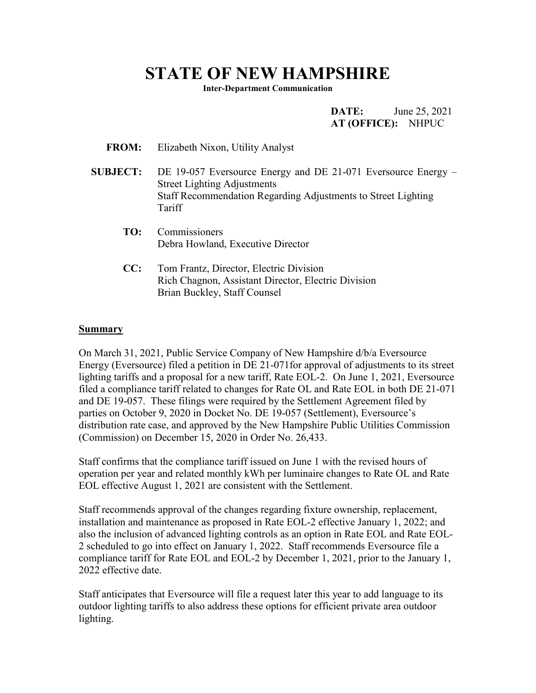## **STATE OF NEW HAMPSHIRE**

**Inter-Department Communication**

**DATE:** June 25, 2021 **AT (OFFICE):** NHPUC

- **FROM:** Elizabeth Nixon, Utility Analyst
- **SUBJECT:** DE 19-057 Eversource Energy and DE 21-071 Eversource Energy Street Lighting Adjustments Staff Recommendation Regarding Adjustments to Street Lighting Tariff
	- **TO:** Commissioners Debra Howland, Executive Director
	- **CC:** Tom Frantz, Director, Electric Division Rich Chagnon, Assistant Director, Electric Division Brian Buckley, Staff Counsel

## **Summary**

On March 31, 2021, Public Service Company of New Hampshire d/b/a Eversource Energy (Eversource) filed a petition in DE 21-071for approval of adjustments to its street lighting tariffs and a proposal for a new tariff, Rate EOL-2. On June 1, 2021, Eversource filed a compliance tariff related to changes for Rate OL and Rate EOL in both DE 21-071 and DE 19-057. These filings were required by the Settlement Agreement filed by parties on October 9, 2020 in Docket No. DE 19-057 (Settlement), Eversource's distribution rate case, and approved by the New Hampshire Public Utilities Commission (Commission) on December 15, 2020 in Order No. 26,433.

Staff confirms that the compliance tariff issued on June 1 with the revised hours of operation per year and related monthly kWh per luminaire changes to Rate OL and Rate EOL effective August 1, 2021 are consistent with the Settlement.

Staff recommends approval of the changes regarding fixture ownership, replacement, installation and maintenance as proposed in Rate EOL-2 effective January 1, 2022; and also the inclusion of advanced lighting controls as an option in Rate EOL and Rate EOL-2 scheduled to go into effect on January 1, 2022. Staff recommends Eversource file a compliance tariff for Rate EOL and EOL-2 by December 1, 2021, prior to the January 1, 2022 effective date.

Staff anticipates that Eversource will file a request later this year to add language to its outdoor lighting tariffs to also address these options for efficient private area outdoor lighting.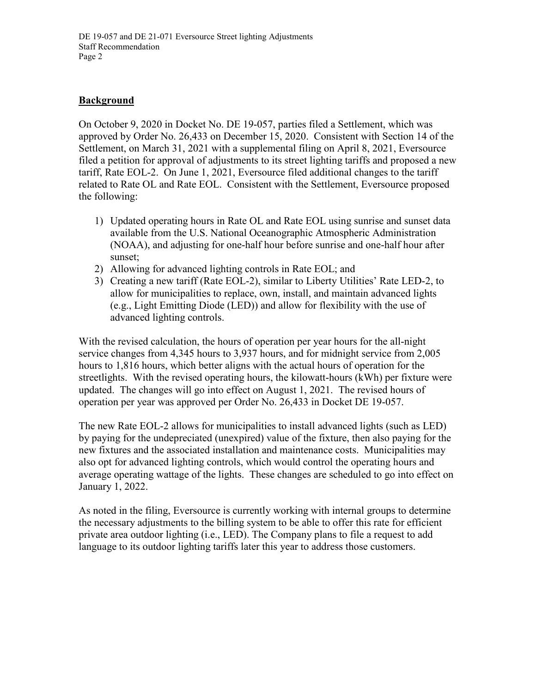## **Background**

On October 9, 2020 in Docket No. DE 19-057, parties filed a Settlement, which was approved by Order No. 26,433 on December 15, 2020. Consistent with Section 14 of the Settlement, on March 31, 2021 with a supplemental filing on April 8, 2021, Eversource filed a petition for approval of adjustments to its street lighting tariffs and proposed a new tariff, Rate EOL-2. On June 1, 2021, Eversource filed additional changes to the tariff related to Rate OL and Rate EOL. Consistent with the Settlement, Eversource proposed the following:

- 1) Updated operating hours in Rate OL and Rate EOL using sunrise and sunset data available from the U.S. National Oceanographic Atmospheric Administration (NOAA), and adjusting for one-half hour before sunrise and one-half hour after sunset;
- 2) Allowing for advanced lighting controls in Rate EOL; and
- 3) Creating a new tariff (Rate EOL-2), similar to Liberty Utilities' Rate LED-2, to allow for municipalities to replace, own, install, and maintain advanced lights (e.g., Light Emitting Diode (LED)) and allow for flexibility with the use of advanced lighting controls.

With the revised calculation, the hours of operation per year hours for the all-night service changes from 4,345 hours to 3,937 hours, and for midnight service from 2,005 hours to 1,816 hours, which better aligns with the actual hours of operation for the streetlights. With the revised operating hours, the kilowatt-hours (kWh) per fixture were updated. The changes will go into effect on August 1, 2021. The revised hours of operation per year was approved per Order No. 26,433 in Docket DE 19-057.

The new Rate EOL-2 allows for municipalities to install advanced lights (such as LED) by paying for the undepreciated (unexpired) value of the fixture, then also paying for the new fixtures and the associated installation and maintenance costs. Municipalities may also opt for advanced lighting controls, which would control the operating hours and average operating wattage of the lights. These changes are scheduled to go into effect on January 1, 2022.

As noted in the filing, Eversource is currently working with internal groups to determine the necessary adjustments to the billing system to be able to offer this rate for efficient private area outdoor lighting (i.e., LED). The Company plans to file a request to add language to its outdoor lighting tariffs later this year to address those customers.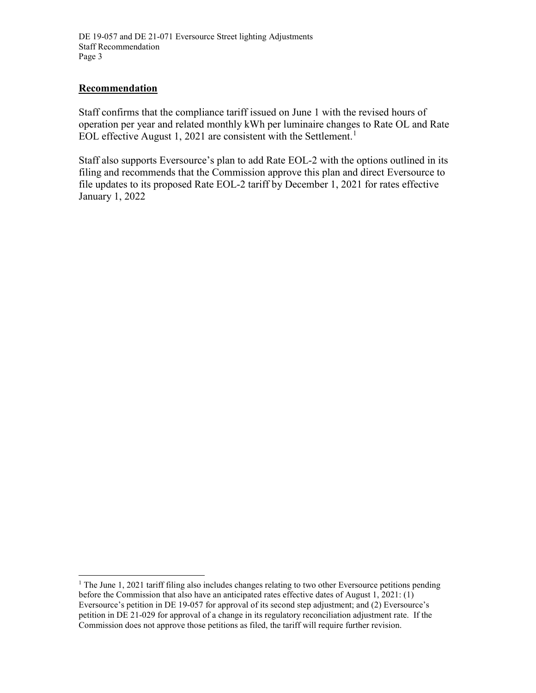## **Recommendation**

Staff confirms that the compliance tariff issued on June 1 with the revised hours of operation per year and related monthly kWh per luminaire changes to Rate OL and Rate EOL effective August [1](#page-2-0), 2021 are consistent with the Settlement.<sup>1</sup>

Staff also supports Eversource's plan to add Rate EOL-2 with the options outlined in its filing and recommends that the Commission approve this plan and direct Eversource to file updates to its proposed Rate EOL-2 tariff by December 1, 2021 for rates effective January 1, 2022

<span id="page-2-0"></span><sup>&</sup>lt;sup>1</sup> The June 1, 2021 tariff filing also includes changes relating to two other Eversource petitions pending before the Commission that also have an anticipated rates effective dates of August 1, 2021: (1) Eversource's petition in DE 19-057 for approval of its second step adjustment; and (2) Eversource's petition in DE 21-029 for approval of a change in its regulatory reconciliation adjustment rate. If the Commission does not approve those petitions as filed, the tariff will require further revision.